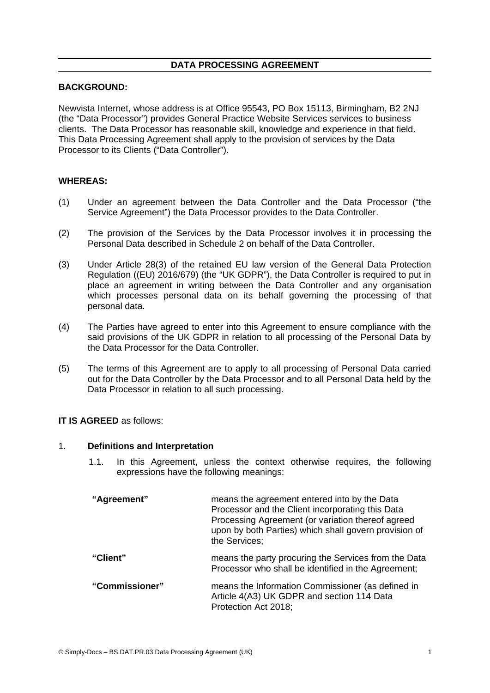### **DATA PROCESSING AGREEMENT**

## **BACKGROUND:**

Newvista Internet, whose address is at Office 95543, PO Box 15113, Birmingham, B2 2NJ (the "Data Processor") provides General Practice Website Services services to business clients. The Data Processor has reasonable skill, knowledge and experience in that field. This Data Processing Agreement shall apply to the provision of services by the Data Processor to its Clients ("Data Controller").

### **WHEREAS:**

- (1) Under an agreement between the Data Controller and the Data Processor ("the Service Agreement") the Data Processor provides to the Data Controller.
- (2) The provision of the Services by the Data Processor involves it in processing the Personal Data described in Schedule 2 on behalf of the Data Controller.
- (3) Under Article 28(3) of the retained EU law version of the General Data Protection Regulation ((EU) 2016/679) (the "UK GDPR"), the Data Controller is required to put in place an agreement in writing between the Data Controller and any organisation which processes personal data on its behalf governing the processing of that personal data.
- (4) The Parties have agreed to enter into this Agreement to ensure compliance with the said provisions of the UK GDPR in relation to all processing of the Personal Data by the Data Processor for the Data Controller.
- (5) The terms of this Agreement are to apply to all processing of Personal Data carried out for the Data Controller by the Data Processor and to all Personal Data held by the Data Processor in relation to all such processing.

#### **IT IS AGREED** as follows:

#### 1. **Definitions and Interpretation**

1.1. In this Agreement, unless the context otherwise requires, the following expressions have the following meanings:

| "Agreement"    | means the agreement entered into by the Data<br>Processor and the Client incorporating this Data<br>Processing Agreement (or variation thereof agreed<br>upon by both Parties) which shall govern provision of<br>the Services; |
|----------------|---------------------------------------------------------------------------------------------------------------------------------------------------------------------------------------------------------------------------------|
| "Client"       | means the party procuring the Services from the Data<br>Processor who shall be identified in the Agreement;                                                                                                                     |
| "Commissioner" | means the Information Commissioner (as defined in<br>Article 4(A3) UK GDPR and section 114 Data<br>Protection Act 2018;                                                                                                         |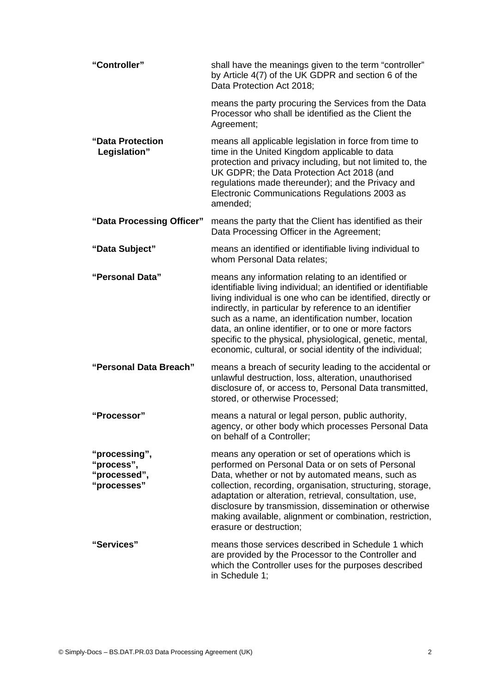**"Controller"** shall have the meanings given to the term "controller" by Article 4(7) of the UK GDPR and section 6 of the Data Protection Act 2018;

means the party procuring the Services from the Data Processor who shall be identified as the Client the Agreement;

- **"Data Protection Legislation"** means all applicable legislation in force from time to time in the United Kingdom applicable to data protection and privacy including, but not limited to, the UK GDPR; the Data Protection Act 2018 (and regulations made thereunder); and the Privacy and Electronic Communications Regulations 2003 as amended;
- **"Data Processing Officer"** means the party that the Client has identified as their Data Processing Officer in the Agreement;
- **"Data Subject"** means an identified or identifiable living individual to whom Personal Data relates;
- **"Personal Data"** means any information relating to an identified or identifiable living individual; an identified or identifiable living individual is one who can be identified, directly or indirectly, in particular by reference to an identifier such as a name, an identification number, location data, an online identifier, or to one or more factors specific to the physical, physiological, genetic, mental, economic, cultural, or social identity of the individual;
- **"Personal Data Breach"** means a breach of security leading to the accidental or unlawful destruction, loss, alteration, unauthorised disclosure of, or access to, Personal Data transmitted, stored, or otherwise Processed;
- **"Processor"** means a natural or legal person, public authority, agency, or other body which processes Personal Data on behalf of a Controller;
- **"processing", "process", "processed", "processes"** means any operation or set of operations which is performed on Personal Data or on sets of Personal Data, whether or not by automated means, such as collection, recording, organisation, structuring, storage, adaptation or alteration, retrieval, consultation, use, disclosure by transmission, dissemination or otherwise making available, alignment or combination, restriction, erasure or destruction;
- **"Services"** means those services described in Schedule 1 which are provided by the Processor to the Controller and which the Controller uses for the purposes described in Schedule 1;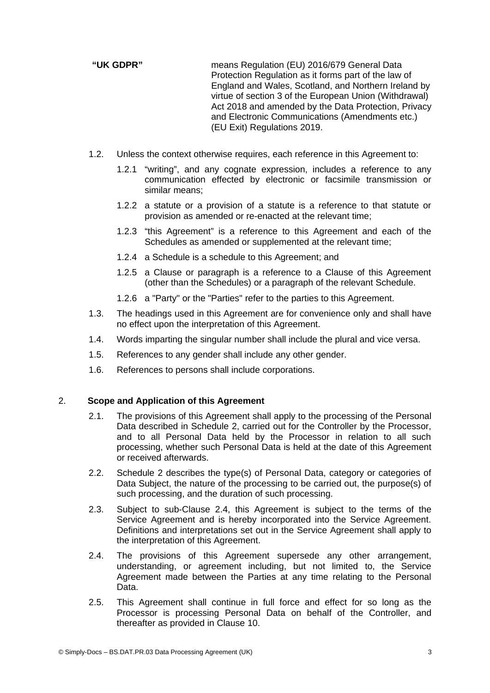**"UK GDPR"** means Regulation (EU) 2016/679 General Data Protection Regulation as it forms part of the law of England and Wales, Scotland, and Northern Ireland by virtue of section 3 of the European Union (Withdrawal) Act 2018 and amended by the Data Protection, Privacy and Electronic Communications (Amendments etc.) (EU Exit) Regulations 2019.

- 1.2. Unless the context otherwise requires, each reference in this Agreement to:
	- 1.2.1 "writing", and any cognate expression, includes a reference to any communication effected by electronic or facsimile transmission or similar means;
	- 1.2.2 a statute or a provision of a statute is a reference to that statute or provision as amended or re-enacted at the relevant time;
	- 1.2.3 "this Agreement" is a reference to this Agreement and each of the Schedules as amended or supplemented at the relevant time;
	- 1.2.4 a Schedule is a schedule to this Agreement; and
	- 1.2.5 a Clause or paragraph is a reference to a Clause of this Agreement (other than the Schedules) or a paragraph of the relevant Schedule.
	- 1.2.6 a "Party" or the "Parties" refer to the parties to this Agreement.
- 1.3. The headings used in this Agreement are for convenience only and shall have no effect upon the interpretation of this Agreement.
- 1.4. Words imparting the singular number shall include the plural and vice versa.
- 1.5. References to any gender shall include any other gender.
- 1.6. References to persons shall include corporations.

### 2. **Scope and Application of this Agreement**

- 2.1. The provisions of this Agreement shall apply to the processing of the Personal Data described in Schedule 2, carried out for the Controller by the Processor, and to all Personal Data held by the Processor in relation to all such processing, whether such Personal Data is held at the date of this Agreement or received afterwards.
- 2.2. Schedule 2 describes the type(s) of Personal Data, category or categories of Data Subject, the nature of the processing to be carried out, the purpose(s) of such processing, and the duration of such processing.
- 2.3. Subject to sub-Clause [2.4,](#page-2-0) this Agreement is subject to the terms of the Service Agreement and is hereby incorporated into the Service Agreement. Definitions and interpretations set out in the Service Agreement shall apply to the interpretation of this Agreement.
- <span id="page-2-0"></span>2.4. The provisions of this Agreement supersede any other arrangement, understanding, or agreement including, but not limited to, the Service Agreement made between the Parties at any time relating to the Personal Data.
- 2.5. This Agreement shall continue in full force and effect for so long as the Processor is processing Personal Data on behalf of the Controller, and thereafter as provided in Clause [10](#page-8-0).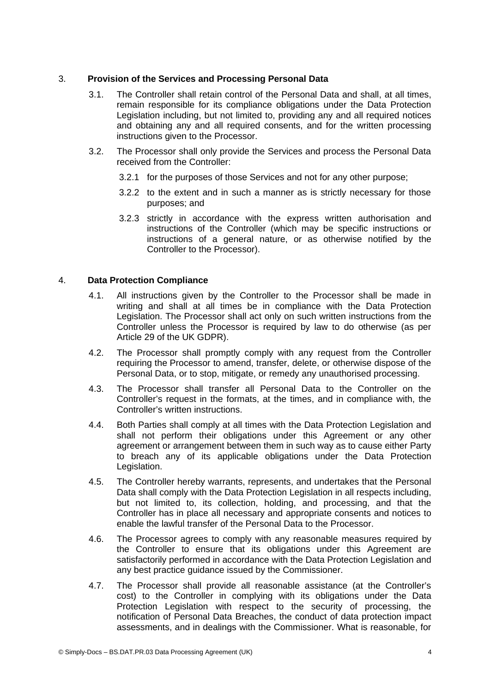# 3. **Provision of the Services and Processing Personal Data**

- 3.1. The Controller shall retain control of the Personal Data and shall, at all times, remain responsible for its compliance obligations under the Data Protection Legislation including, but not limited to, providing any and all required notices and obtaining any and all required consents, and for the written processing instructions given to the Processor.
- 3.2. The Processor shall only provide the Services and process the Personal Data received from the Controller:
	- 3.2.1 for the purposes of those Services and not for any other purpose;
	- 3.2.2 to the extent and in such a manner as is strictly necessary for those purposes; and
	- 3.2.3 strictly in accordance with the express written authorisation and instructions of the Controller (which may be specific instructions or instructions of a general nature, or as otherwise notified by the Controller to the Processor).

# 4. **Data Protection Compliance**

- <span id="page-3-1"></span>4.1. All instructions given by the Controller to the Processor shall be made in writing and shall at all times be in compliance with the Data Protection Legislation. The Processor shall act only on such written instructions from the Controller unless the Processor is required by law to do otherwise (as per Article 29 of the UK GDPR).
- 4.2. The Processor shall promptly comply with any request from the Controller requiring the Processor to amend, transfer, delete, or otherwise dispose of the Personal Data, or to stop, mitigate, or remedy any unauthorised processing.
- 4.3. The Processor shall transfer all Personal Data to the Controller on the Controller's request in the formats, at the times, and in compliance with, the Controller's written instructions.
- 4.4. Both Parties shall comply at all times with the Data Protection Legislation and shall not perform their obligations under this Agreement or any other agreement or arrangement between them in such way as to cause either Party to breach any of its applicable obligations under the Data Protection Legislation.
- 4.5. The Controller hereby warrants, represents, and undertakes that the Personal Data shall comply with the Data Protection Legislation in all respects including, but not limited to, its collection, holding, and processing, and that the Controller has in place all necessary and appropriate consents and notices to enable the lawful transfer of the Personal Data to the Processor.
- 4.6. The Processor agrees to comply with any reasonable measures required by the Controller to ensure that its obligations under this Agreement are satisfactorily performed in accordance with the Data Protection Legislation and any best practice guidance issued by the Commissioner.
- <span id="page-3-0"></span>4.7. The Processor shall provide all reasonable assistance (at the Controller's cost) to the Controller in complying with its obligations under the Data Protection Legislation with respect to the security of processing, the notification of Personal Data Breaches, the conduct of data protection impact assessments, and in dealings with the Commissioner. What is reasonable, for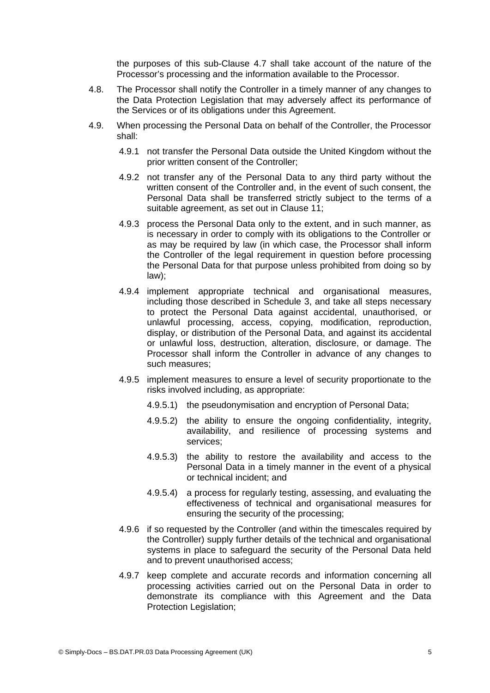the purposes of this sub-Clause [4.7](#page-3-0) shall take account of the nature of the Processor's processing and the information available to the Processor.

- 4.8. The Processor shall notify the Controller in a timely manner of any changes to the Data Protection Legislation that may adversely affect its performance of the Services or of its obligations under this Agreement.
- 4.9. When processing the Personal Data on behalf of the Controller, the Processor shall:
	- 4.9.1 not transfer the Personal Data outside the United Kingdom without the prior written consent of the Controller;
	- 4.9.2 not transfer any of the Personal Data to any third party without the written consent of the Controller and, in the event of such consent, the Personal Data shall be transferred strictly subject to the terms of a suitable agreement, as set out in Clause [11](#page-9-0);
	- 4.9.3 process the Personal Data only to the extent, and in such manner, as is necessary in order to comply with its obligations to the Controller or as may be required by law (in which case, the Processor shall inform the Controller of the legal requirement in question before processing the Personal Data for that purpose unless prohibited from doing so by law);
	- 4.9.4 implement appropriate technical and organisational measures, including those described in Schedule 3, and take all steps necessary to protect the Personal Data against accidental, unauthorised, or unlawful processing, access, copying, modification, reproduction, display, or distribution of the Personal Data, and against its accidental or unlawful loss, destruction, alteration, disclosure, or damage. The Processor shall inform the Controller in advance of any changes to such measures;
	- 4.9.5 implement measures to ensure a level of security proportionate to the risks involved including, as appropriate:
		- 4.9.5.1) the pseudonymisation and encryption of Personal Data;
		- 4.9.5.2) the ability to ensure the ongoing confidentiality, integrity, availability, and resilience of processing systems and services;
		- 4.9.5.3) the ability to restore the availability and access to the Personal Data in a timely manner in the event of a physical or technical incident; and
		- 4.9.5.4) a process for regularly testing, assessing, and evaluating the effectiveness of technical and organisational measures for ensuring the security of the processing;
	- 4.9.6 if so requested by the Controller (and within the timescales required by the Controller) supply further details of the technical and organisational systems in place to safeguard the security of the Personal Data held and to prevent unauthorised access;
	- 4.9.7 keep complete and accurate records and information concerning all processing activities carried out on the Personal Data in order to demonstrate its compliance with this Agreement and the Data Protection Legislation;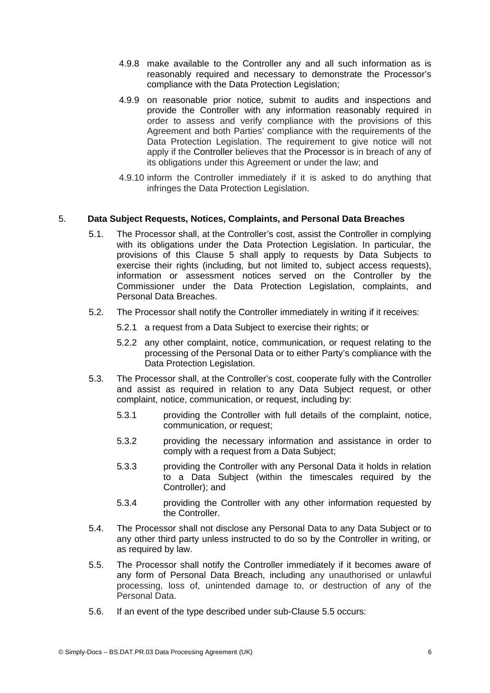- 4.9.8 make available to the Controller any and all such information as is reasonably required and necessary to demonstrate the Processor's compliance with the Data Protection Legislation;
- 4.9.9 on reasonable prior notice, submit to audits and inspections and provide the Controller with any information reasonably required in order to assess and verify compliance with the provisions of this Agreement and both Parties' compliance with the requirements of the Data Protection Legislation. The requirement to give notice will not apply if the Controller believes that the Processor is in breach of any of its obligations under this Agreement or under the law; and
- 4.9.10 inform the Controller immediately if it is asked to do anything that infringes the Data Protection Legislation.

### 5. **Data Subject Requests, Notices, Complaints, and Personal Data Breaches**

- 5.1. The Processor shall, at the Controller's cost, assist the Controller in complying with its obligations under the Data Protection Legislation. In particular, the provisions of this Clause 5 shall apply to requests by Data Subjects to exercise their rights (including, but not limited to, subject access requests), information or assessment notices served on the Controller by the Commissioner under the Data Protection Legislation, complaints, and Personal Data Breaches.
- 5.2. The Processor shall notify the Controller immediately in writing if it receives:
	- 5.2.1 a request from a Data Subject to exercise their rights; or
	- 5.2.2 any other complaint, notice, communication, or request relating to the processing of the Personal Data or to either Party's compliance with the Data Protection Legislation.
- 5.3. The Processor shall, at the Controller's cost, cooperate fully with the Controller and assist as required in relation to any Data Subject request, or other complaint, notice, communication, or request, including by:
	- 5.3.1 providing the Controller with full details of the complaint, notice, communication, or request;
	- 5.3.2 providing the necessary information and assistance in order to comply with a request from a Data Subject;
	- 5.3.3 providing the Controller with any Personal Data it holds in relation to a Data Subject (within the timescales required by the Controller); and
	- 5.3.4 providing the Controller with any other information requested by the Controller.
- 5.4. The Processor shall not disclose any Personal Data to any Data Subject or to any other third party unless instructed to do so by the Controller in writing, or as required by law.
- <span id="page-5-0"></span>5.5. The Processor shall notify the Controller immediately if it becomes aware of any form of Personal Data Breach, including any unauthorised or unlawful processing, loss of, unintended damage to, or destruction of any of the Personal Data.
- <span id="page-5-1"></span>5.6. If an event of the type described under sub-Clause [5.5](#page-5-0) occurs: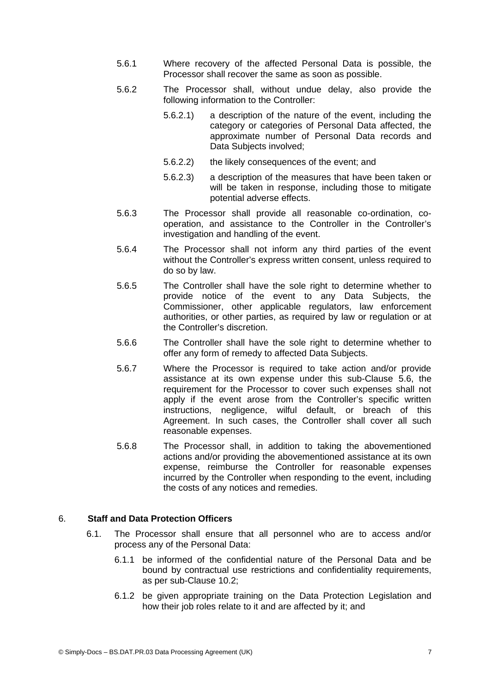- 5.6.1 Where recovery of the affected Personal Data is possible, the Processor shall recover the same as soon as possible.
- 5.6.2 The Processor shall, without undue delay, also provide the following information to the Controller:
	- 5.6.2.1) a description of the nature of the event, including the category or categories of Personal Data affected, the approximate number of Personal Data records and Data Subjects involved;
	- 5.6.2.2) the likely consequences of the event; and
	- 5.6.2.3) a description of the measures that have been taken or will be taken in response, including those to mitigate potential adverse effects.
- 5.6.3 The Processor shall provide all reasonable co-ordination, cooperation, and assistance to the Controller in the Controller's investigation and handling of the event.
- 5.6.4 The Processor shall not inform any third parties of the event without the Controller's express written consent, unless required to do so by law.
- 5.6.5 The Controller shall have the sole right to determine whether to provide notice of the event to any Data Subjects, the Commissioner, other applicable regulators, law enforcement authorities, or other parties, as required by law or regulation or at the Controller's discretion.
- 5.6.6 The Controller shall have the sole right to determine whether to offer any form of remedy to affected Data Subjects.
- 5.6.7 Where the Processor is required to take action and/or provide assistance at its own expense under this sub-Clause [5.6,](#page-5-1) the requirement for the Processor to cover such expenses shall not apply if the event arose from the Controller's specific written instructions, negligence, wilful default, or breach of this Agreement. In such cases, the Controller shall cover all such reasonable expenses.
- 5.6.8 The Processor shall, in addition to taking the abovementioned actions and/or providing the abovementioned assistance at its own expense, reimburse the Controller for reasonable expenses incurred by the Controller when responding to the event, including the costs of any notices and remedies.

### 6. **Staff and Data Protection Officers**

- 6.1. The Processor shall ensure that all personnel who are to access and/or process any of the Personal Data:
	- 6.1.1 be informed of the confidential nature of the Personal Data and be bound by contractual use restrictions and confidentiality requirements, as per sub-Clause [10.2;](#page-8-1)
	- 6.1.2 be given appropriate training on the Data Protection Legislation and how their job roles relate to it and are affected by it; and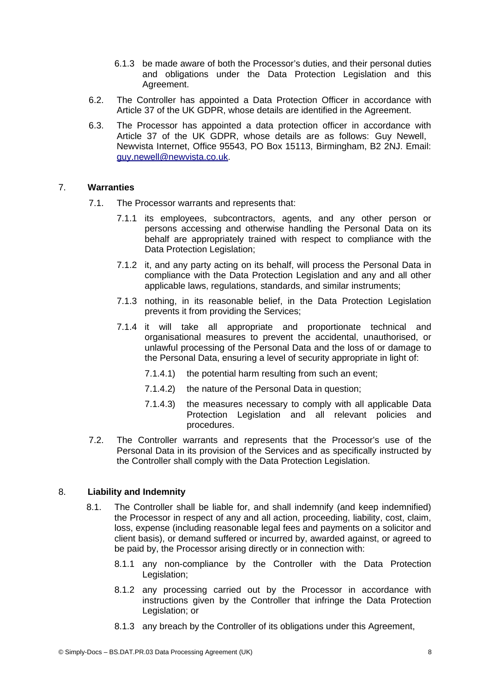- 6.1.3 be made aware of both the Processor's duties, and their personal duties and obligations under the Data Protection Legislation and this Agreement.
- 6.2. The Controller has appointed a Data Protection Officer in accordance with Article 37 of the UK GDPR, whose details are identified in the Agreement.
- 6.3. The Processor has appointed a data protection officer in accordance with Article 37 of the UK GDPR, whose details are as follows: Guy Newell, Newvista Internet, Office 95543, PO Box 15113, Birmingham, B2 2NJ. Email: guy.newell@newvista.co.uk.

### 7. **Warranties**

- 7.1. The Processor warrants and represents that:
	- 7.1.1 its employees, subcontractors, agents, and any other person or persons accessing and otherwise handling the Personal Data on its behalf are appropriately trained with respect to compliance with the Data Protection Legislation:
	- 7.1.2 it, and any party acting on its behalf, will process the Personal Data in compliance with the Data Protection Legislation and any and all other applicable laws, regulations, standards, and similar instruments;
	- 7.1.3 nothing, in its reasonable belief, in the Data Protection Legislation prevents it from providing the Services;
	- 7.1.4 it will take all appropriate and proportionate technical and organisational measures to prevent the accidental, unauthorised, or unlawful processing of the Personal Data and the loss of or damage to the Personal Data, ensuring a level of security appropriate in light of:
		- 7.1.4.1) the potential harm resulting from such an event;
		- 7.1.4.2) the nature of the Personal Data in question;
		- 7.1.4.3) the measures necessary to comply with all applicable Data Protection Legislation and all relevant policies and procedures.
- 7.2. The Controller warrants and represents that the Processor's use of the Personal Data in its provision of the Services and as specifically instructed by the Controller shall comply with the Data Protection Legislation.

# 8. **Liability and Indemnity**

- <span id="page-7-0"></span>8.1. The Controller shall be liable for, and shall indemnify (and keep indemnified) the Processor in respect of any and all action, proceeding, liability, cost, claim, loss, expense (including reasonable legal fees and payments on a solicitor and client basis), or demand suffered or incurred by, awarded against, or agreed to be paid by, the Processor arising directly or in connection with:
	- 8.1.1 any non-compliance by the Controller with the Data Protection Legislation;
	- 8.1.2 any processing carried out by the Processor in accordance with instructions given by the Controller that infringe the Data Protection Legislation; or
	- 8.1.3 any breach by the Controller of its obligations under this Agreement,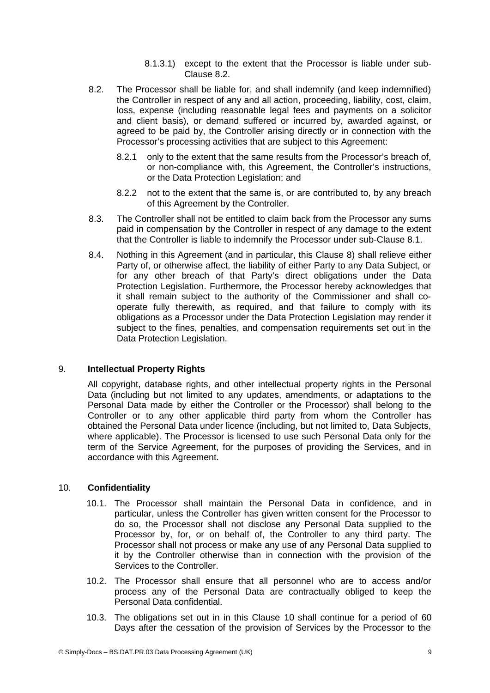8.1.3.1) except to the extent that the Processor is liable under sub-Clause [8.2.](#page-8-2)

- <span id="page-8-2"></span>8.2. The Processor shall be liable for, and shall indemnify (and keep indemnified) the Controller in respect of any and all action, proceeding, liability, cost, claim, loss, expense (including reasonable legal fees and payments on a solicitor and client basis), or demand suffered or incurred by, awarded against, or agreed to be paid by, the Controller arising directly or in connection with the Processor's processing activities that are subject to this Agreement:
	- 8.2.1 only to the extent that the same results from the Processor's breach of, or non-compliance with, this Agreement, the Controller's instructions, or the Data Protection Legislation; and
	- 8.2.2 not to the extent that the same is, or are contributed to, by any breach of this Agreement by the Controller.
- 8.3. The Controller shall not be entitled to claim back from the Processor any sums paid in compensation by the Controller in respect of any damage to the extent that the Controller is liable to indemnify the Processor under sub-Clause 8.1.
- 8.4. Nothing in this Agreement (and in particular, this Clause [8\)](#page-7-0) shall relieve either Party of, or otherwise affect, the liability of either Party to any Data Subject, or for any other breach of that Party's direct obligations under the Data Protection Legislation. Furthermore, the Processor hereby acknowledges that it shall remain subject to the authority of the Commissioner and shall cooperate fully therewith, as required, and that failure to comply with its obligations as a Processor under the Data Protection Legislation may render it subject to the fines, penalties, and compensation requirements set out in the Data Protection Legislation.

# 9. **Intellectual Property Rights**

All copyright, database rights, and other intellectual property rights in the Personal Data (including but not limited to any updates, amendments, or adaptations to the Personal Data made by either the Controller or the Processor) shall belong to the Controller or to any other applicable third party from whom the Controller has obtained the Personal Data under licence (including, but not limited to, Data Subjects, where applicable). The Processor is licensed to use such Personal Data only for the term of the Service Agreement, for the purposes of providing the Services, and in accordance with this Agreement.

# 10. **Confidentiality**

- <span id="page-8-0"></span>10.1. The Processor shall maintain the Personal Data in confidence, and in particular, unless the Controller has given written consent for the Processor to do so, the Processor shall not disclose any Personal Data supplied to the Processor by, for, or on behalf of, the Controller to any third party. The Processor shall not process or make any use of any Personal Data supplied to it by the Controller otherwise than in connection with the provision of the Services to the Controller.
- <span id="page-8-1"></span>10.2. The Processor shall ensure that all personnel who are to access and/or process any of the Personal Data are contractually obliged to keep the Personal Data confidential.
- 10.3. The obligations set out in in this Clause [10](#page-8-0) shall continue for a period of 60 Days after the cessation of the provision of Services by the Processor to the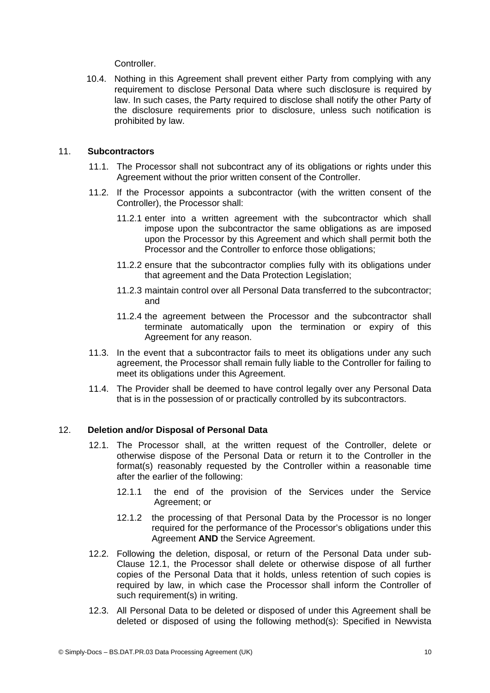**Controller** 

10.4. Nothing in this Agreement shall prevent either Party from complying with any requirement to disclose Personal Data where such disclosure is required by law. In such cases, the Party required to disclose shall notify the other Party of the disclosure requirements prior to disclosure, unless such notification is prohibited by law.

## 11. **Subcontractors**

- <span id="page-9-0"></span>11.1. The Processor shall not subcontract any of its obligations or rights under this Agreement without the prior written consent of the Controller.
- 11.2. If the Processor appoints a subcontractor (with the written consent of the Controller), the Processor shall:
	- 11.2.1 enter into a written agreement with the subcontractor which shall impose upon the subcontractor the same obligations as are imposed upon the Processor by this Agreement and which shall permit both the Processor and the Controller to enforce those obligations;
	- 11.2.2 ensure that the subcontractor complies fully with its obligations under that agreement and the Data Protection Legislation;
	- 11.2.3 maintain control over all Personal Data transferred to the subcontractor; and
	- 11.2.4 the agreement between the Processor and the subcontractor shall terminate automatically upon the termination or expiry of this Agreement for any reason.
- 11.3. In the event that a subcontractor fails to meet its obligations under any such agreement, the Processor shall remain fully liable to the Controller for failing to meet its obligations under this Agreement.
- 11.4. The Provider shall be deemed to have control legally over any Personal Data that is in the possession of or practically controlled by its subcontractors.

#### 12. **Deletion and/or Disposal of Personal Data**

- <span id="page-9-1"></span>12.1. The Processor shall, at the written request of the Controller, delete or otherwise dispose of the Personal Data or return it to the Controller in the format(s) reasonably requested by the Controller within a reasonable time after the earlier of the following:
	- 12.1.1 the end of the provision of the Services under the Service Agreement; or
	- 12.1.2 the processing of that Personal Data by the Processor is no longer required for the performance of the Processor's obligations under this Agreement **AND** the Service Agreement.
- 12.2. Following the deletion, disposal, or return of the Personal Data under sub-Clause [12.1,](#page-9-1) the Processor shall delete or otherwise dispose of all further copies of the Personal Data that it holds, unless retention of such copies is required by law, in which case the Processor shall inform the Controller of such requirement(s) in writing.
- 12.3. All Personal Data to be deleted or disposed of under this Agreement shall be deleted or disposed of using the following method(s): Specified in Newvista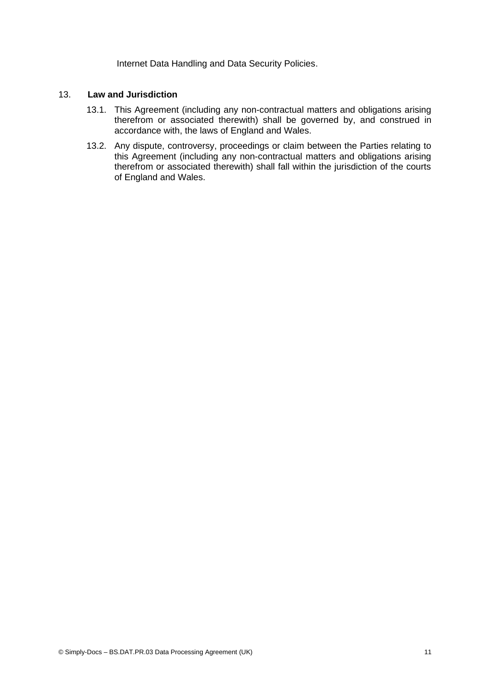Internet Data Handling and Data Security Policies.

#### 13. **Law and Jurisdiction**

- 13.1. This Agreement (including any non-contractual matters and obligations arising therefrom or associated therewith) shall be governed by, and construed in accordance with, the laws of England and Wales.
- 13.2. Any dispute, controversy, proceedings or claim between the Parties relating to this Agreement (including any non-contractual matters and obligations arising therefrom or associated therewith) shall fall within the jurisdiction of the courts of England and Wales.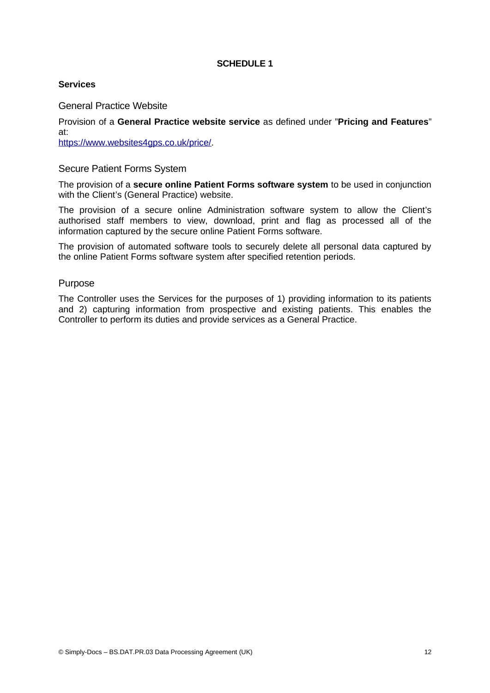## **SCHEDULE 1**

### **Services**

General Practice Website

Provision of a **General Practice website service** as defined under "**Pricing and Features**" at:

[https://www.websites4gps.co.uk/price/.](https://www.websites4gps.co.uk/price/)

### Secure Patient Forms System

The provision of a **secure online Patient Forms software system** to be used in conjunction with the Client's (General Practice) website.

The provision of a secure online Administration software system to allow the Client's authorised staff members to view, download, print and flag as processed all of the information captured by the secure online Patient Forms software.

The provision of automated software tools to securely delete all personal data captured by the online Patient Forms software system after specified retention periods.

#### Purpose

The Controller uses the Services for the purposes of 1) providing information to its patients and 2) capturing information from prospective and existing patients. This enables the Controller to perform its duties and provide services as a General Practice.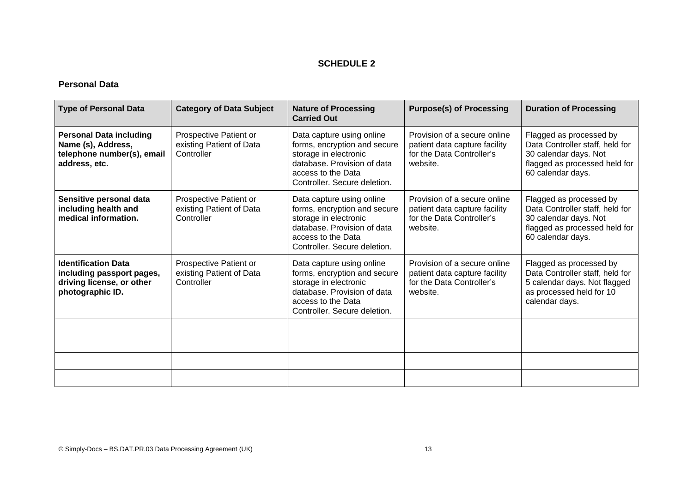# **SCHEDULE 2**

# **Personal Data**

| <b>Type of Personal Data</b>                                                                             | <b>Category of Data Subject</b>                                  | <b>Nature of Processing</b><br><b>Carried Out</b>                                                                                                                       | <b>Purpose(s) of Processing</b>                                                                        | <b>Duration of Processing</b>                                                                                                             |
|----------------------------------------------------------------------------------------------------------|------------------------------------------------------------------|-------------------------------------------------------------------------------------------------------------------------------------------------------------------------|--------------------------------------------------------------------------------------------------------|-------------------------------------------------------------------------------------------------------------------------------------------|
| <b>Personal Data including</b><br>Name (s), Address,<br>telephone number(s), email<br>address, etc.      | Prospective Patient or<br>existing Patient of Data<br>Controller | Data capture using online<br>forms, encryption and secure<br>storage in electronic<br>database. Provision of data<br>access to the Data<br>Controller. Secure deletion. | Provision of a secure online<br>patient data capture facility<br>for the Data Controller's<br>website. | Flagged as processed by<br>Data Controller staff, held for<br>30 calendar days. Not<br>flagged as processed held for<br>60 calendar days. |
| Sensitive personal data<br>including health and<br>medical information.                                  | Prospective Patient or<br>existing Patient of Data<br>Controller | Data capture using online<br>forms, encryption and secure<br>storage in electronic<br>database. Provision of data<br>access to the Data<br>Controller. Secure deletion. | Provision of a secure online<br>patient data capture facility<br>for the Data Controller's<br>website. | Flagged as processed by<br>Data Controller staff, held for<br>30 calendar days. Not<br>flagged as processed held for<br>60 calendar days. |
| <b>Identification Data</b><br>including passport pages,<br>driving license, or other<br>photographic ID. | Prospective Patient or<br>existing Patient of Data<br>Controller | Data capture using online<br>forms, encryption and secure<br>storage in electronic<br>database. Provision of data<br>access to the Data<br>Controller. Secure deletion. | Provision of a secure online<br>patient data capture facility<br>for the Data Controller's<br>website. | Flagged as processed by<br>Data Controller staff, held for<br>5 calendar days. Not flagged<br>as processed held for 10<br>calendar days.  |
|                                                                                                          |                                                                  |                                                                                                                                                                         |                                                                                                        |                                                                                                                                           |
|                                                                                                          |                                                                  |                                                                                                                                                                         |                                                                                                        |                                                                                                                                           |
|                                                                                                          |                                                                  |                                                                                                                                                                         |                                                                                                        |                                                                                                                                           |
|                                                                                                          |                                                                  |                                                                                                                                                                         |                                                                                                        |                                                                                                                                           |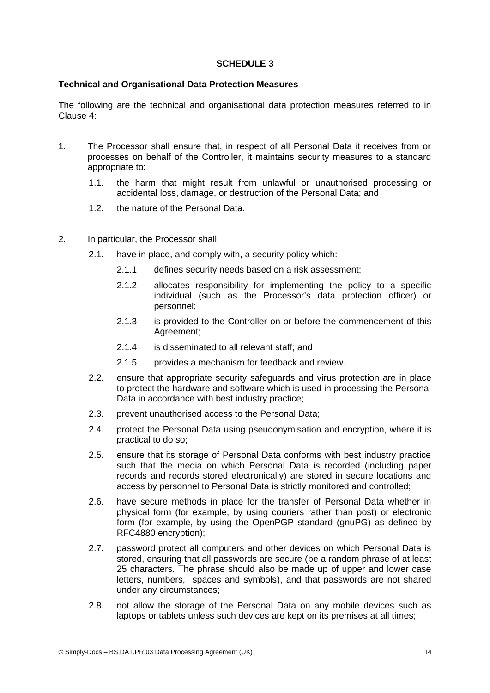### **SCHEDULE 3**

### **Technical and Organisational Data Protection Measures**

The following are the technical and organisational data protection measures referred to in Clause [4](#page-3-1):

- 1. The Processor shall ensure that, in respect of all Personal Data it receives from or processes on behalf of the Controller, it maintains security measures to a standard appropriate to:
	- 1.1. the harm that might result from unlawful or unauthorised processing or accidental loss, damage, or destruction of the Personal Data; and
	- 1.2. the nature of the Personal Data.
- 2. In particular, the Processor shall:
	- 2.1. have in place, and comply with, a security policy which:
		- 2.1.1 defines security needs based on a risk assessment;
		- 2.1.2 allocates responsibility for implementing the policy to a specific individual (such as the Processor's data protection officer) or personnel;
		- 2.1.3 is provided to the Controller on or before the commencement of this Agreement;
		- 2.1.4 is disseminated to all relevant staff; and
		- 2.1.5 provides a mechanism for feedback and review.
	- 2.2. ensure that appropriate security safeguards and virus protection are in place to protect the hardware and software which is used in processing the Personal Data in accordance with best industry practice;
	- 2.3. prevent unauthorised access to the Personal Data;
	- 2.4. protect the Personal Data using pseudonymisation and encryption, where it is practical to do so;
	- 2.5. ensure that its storage of Personal Data conforms with best industry practice such that the media on which Personal Data is recorded (including paper records and records stored electronically) are stored in secure locations and access by personnel to Personal Data is strictly monitored and controlled;
	- 2.6. have secure methods in place for the transfer of Personal Data whether in physical form (for example, by using couriers rather than post) or electronic form (for example, by using the OpenPGP standard (gnuPG) as defined by RFC4880 encryption);
	- 2.7. password protect all computers and other devices on which Personal Data is stored, ensuring that all passwords are secure (be a random phrase of at least 25 characters. The phrase should also be made up of upper and lower case letters, numbers, spaces and symbols), and that passwords are not shared under any circumstances;
	- 2.8. not allow the storage of the Personal Data on any mobile devices such as laptops or tablets unless such devices are kept on its premises at all times;